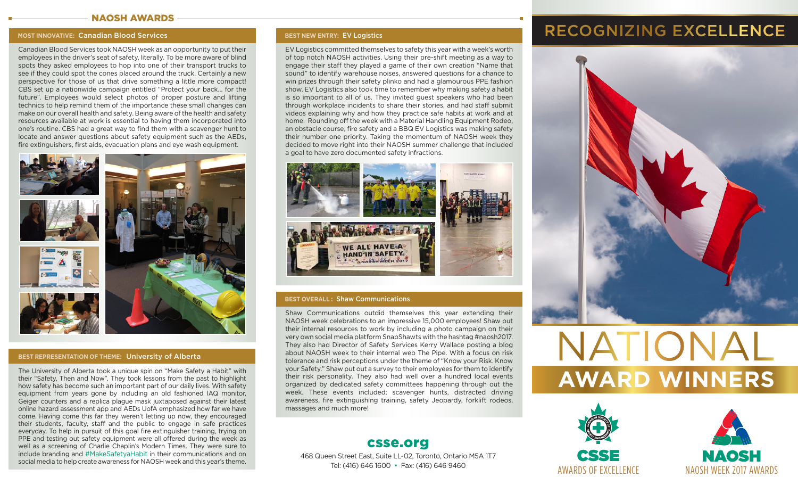### NAOSH AWARDS

### **MOST INNOVATIVE:** Canadian Blood Services

Canadian Blood Services took NAOSH week as an opportunity to put their employees in the driver's seat of safety, literally. To be more aware of blind spots they asked employees to hop into one of their transport trucks to see if they could spot the cones placed around the truck. Certainly a new perspective for those of us that drive something a little more compact! CBS set up a nationwide campaign entitled "Protect your back... for the future". Employees would select photos of proper posture and lifting technics to help remind them of the importance these small changes can make on our overall health and safety. Being aware of the health and safety resources available at work is essential to having them incorporated into one's routine. CBS had a great way to find them with a scavenger hunt to locate and answer questions about safety equipment such as the AEDs, fire extinguishers, first aids, evacuation plans and eye wash equipment.



### **BEST REPRESENTATION OF THEME:** University of Alberta

The University of Alberta took a unique spin on "Make Safety a Habit" with their "Safety, Then and Now". They took lessons from the past to highlight how safety has become such an important part of our daily lives. With safety equipment from years gone by including an old fashioned IAQ monitor, Geiger counters and a replica plague mask juxtaposed against their latest online hazard assessment app and AEDs UofA emphasized how far we have come. Having come this far they weren't letting up now, they encouraged their students, faculty, staff and the public to engage in safe practices everyday. To help in pursuit of this goal fire extinguisher training, trying on PPE and testing out safety equipment were all offered during the week as well as a screening of Charlie Chaplin's Modern Times. They were sure to include branding and #MakeSafetyaHabit in their communications and on social media to help create awareness for NAOSH week and this year's theme.

### **BEST NEW ENTRY:** EV Logistics

EV Logistics committed themselves to safety this year with a week's worth of top notch NAOSH activities. Using their pre-shift meeting as a way to engage their staff they played a game of their own creation "Name that sound" to identify warehouse noises, answered questions for a chance to win prizes through their safety plinko and had a glamourous PPE fashion show. EV Logistics also took time to remember why making safety a habit is so important to all of us. They invited guest speakers who had been through workplace incidents to share their stories, and had staff submit videos explaining why and how they practice safe habits at work and at home. Rounding off the week with a Material Handling Equipment Rodeo, an obstacle course, fire safety and a BBQ EV Logistics was making safety their number one priority. Taking the momentum of NAOSH week they decided to move right into their NAOSH summer challenge that included a goal to have zero documented safety infractions.



### **BEST OVERALL :** Shaw Communications

Shaw Communications outdid themselves this year extending their NAOSH week celebrations to an impressive 15,000 employees! Shaw put their internal resources to work by including a photo campaign on their very own social media platform SnapShawts with the hashtag #naosh2017. They also had Director of Safety Services Kerry Wallace posting a blog about NAOSH week to their internal web The Pipe. With a focus on risk tolerance and risk perceptions under the theme of "Know your Risk. Know your Safety." Shaw put out a survey to their employees for them to identify their risk personality. They also had well over a hundred local events organized by dedicated safety committees happening through out the week. These events included; scavenger hunts, distracted driving awareness, fire extinguishing training, safety Jeopardy, forklift rodeos, massages and much more!

### csse.org

468 Queen Street East, Suite LL-02, Toronto, Ontario M5A 1T7 Tel: (416) 646 1600 • Fax: (416) 646 9460

## RECOGNIZING EXCELLENCE



# NATIONAL **AWARD WINNERS**